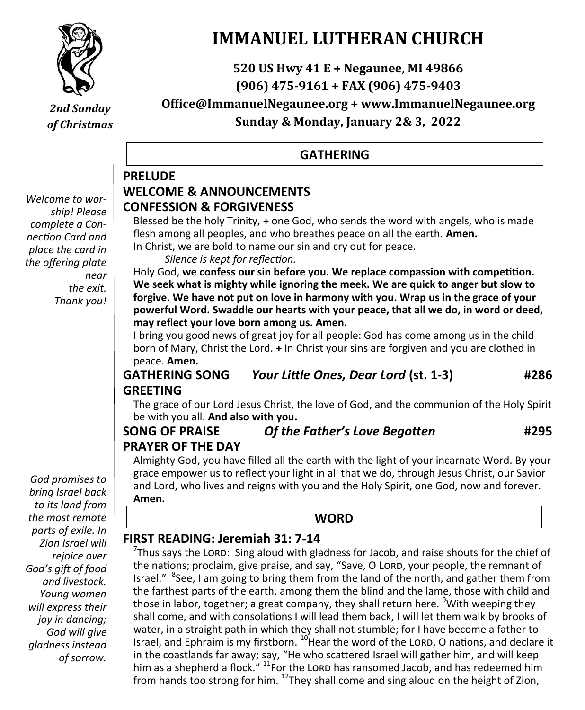

*2nd Sunday of Christmas*

*Welcome to worship! Please complete a Connection Card and place the card in the offering plate near the exit. Thank you!*

#### *God promises to bring Israel back to its land from the most remote parts of exile. In Zion Israel will rejoice over God's gift of food and livestock. Young women will express their joy in dancing; God will give gladness instead of sorrow.*

**IMMANUEL LUTHERAN CHURCH**

**520 US Hwy 41 E + Negaunee, MI 49866 (906) 475-9161 + FAX (906) 475-9403 Office@ImmanuelNegaunee.org + www.ImmanuelNegaunee.org**

**Sunday & Monday, January 2& 3, 2022**

### **GATHERING**

#### **PRELUDE WELCOME & ANNOUNCEMENTS CONFESSION & FORGIVENESS**

Blessed be the holy Trinity, **+** one God, who sends the word with angels, who is made flesh among all peoples, and who breathes peace on all the earth. **Amen.**

In Christ, we are bold to name our sin and cry out for peace.

*Silence is kept for reflection.*

Holy God, **we confess our sin before you. We replace compassion with competition. We seek what is mighty while ignoring the meek. We are quick to anger but slow to forgive. We have not put on love in harmony with you. Wrap us in the grace of your powerful Word. Swaddle our hearts with your peace, that all we do, in word or deed, may reflect your love born among us. Amen.**

I bring you good news of great joy for all people: God has come among us in the child born of Mary, Christ the Lord. **+** In Christ your sins are forgiven and you are clothed in peace. **Amen.**

### **GATHERING SONG** *Your Little Ones, Dear Lord* **(st. 1-3) #286 GREETING**

The grace of our Lord Jesus Christ, the love of God, and the communion of the Holy Spirit be with you all. **And also with you.**

### **SONG OF PRAISE** *Of the Father's Love Begotten* **#295 PRAYER OF THE DAY**

Almighty God, you have filled all the earth with the light of your incarnate Word. By your grace empower us to reflect your light in all that we do, through Jesus Christ, our Savior and Lord, who lives and reigns with you and the Holy Spirit, one God, now and forever. **Amen.**

### **WORD**

### **FIRST READING: Jeremiah 31: 7-14**

 $7$ Thus says the LORD: Sing aloud with gladness for Jacob, and raise shouts for the chief of the nations; proclaim, give praise, and say, "Save, O LORD, your people, the remnant of Israel." <sup>8</sup>See, I am going to bring them from the land of the north, and gather them from the farthest parts of the earth, among them the blind and the lame, those with child and those in labor, together; a great company, they shall return here. <sup>9</sup>With weeping they shall come, and with consolations I will lead them back, I will let them walk by brooks of water, in a straight path in which they shall not stumble; for I have become a father to Israel, and Ephraim is my firstborn.  $^{10}$  Hear the word of the LORD, O nations, and declare it in the coastlands far away; say, "He who scattered Israel will gather him, and will keep him as a shepherd a flock."  $^{11}$  For the LORD has ransomed Jacob, and has redeemed him from hands too strong for him.  $^{12}$ They shall come and sing aloud on the height of Zion,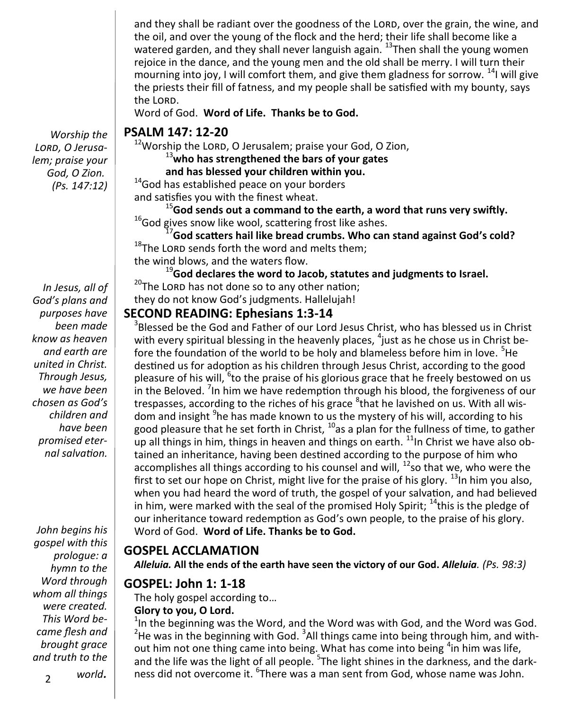and they shall be radiant over the goodness of the LORD, over the grain, the wine, and the oil, and over the young of the flock and the herd; their life shall become like a watered garden, and they shall never languish again.  $13$ Then shall the young women rejoice in the dance, and the young men and the old shall be merry. I will turn their mourning into joy, I will comfort them, and give them gladness for sorrow.  $^{14}$ I will give the priests their fill of fatness, and my people shall be satisfied with my bounty, says the LORD.

Word of God. **Word of Life. Thanks be to God.**

#### **PSALM 147: 12-20**

 $12$ Worship the LORD, O Jerusalem; praise your God, O Zion,

<sup>13</sup>**who has strengthened the bars of your gates**

#### **and has blessed your children within you.**

<sup>14</sup>God has established peace on your borders and satisfies you with the finest wheat.

<sup>15</sup>**God sends out a command to the earth, a word that runs very swiftly.** <sup>16</sup>God gives snow like wool, scattering frost like ashes.

<sup>17</sup>**God scatters hail like bread crumbs. Who can stand against God's cold?**  $18$ The LORD sends forth the word and melts them; the wind blows, and the waters flow.

<sup>19</sup>**God declares the word to Jacob, statutes and judgments to Israel.**  $20$ The LORD has not done so to any other nation; they do not know God's judgments. Hallelujah!

#### **SECOND READING: Ephesians 1:3-14**

 $3$ Blessed be the God and Father of our Lord Jesus Christ, who has blessed us in Christ with every spiritual blessing in the heavenly places,  ${}^{4}$ just as he chose us in Christ before the foundation of the world to be holy and blameless before him in love. <sup>5</sup>He destined us for adoption as his children through Jesus Christ, according to the good pleasure of his will, <sup>6</sup>to the praise of his glorious grace that he freely bestowed on us in the Beloved. <sup>7</sup>In him we have redemption through his blood, the forgiveness of our trespasses, according to the riches of his grace <sup>8</sup>that he lavished on us. With all wisdom and insight <sup>9</sup>he has made known to us the mystery of his will, according to his good pleasure that he set forth in Christ, <sup>10</sup>as a plan for the fullness of time, to gather up all things in him, things in heaven and things on earth.  $11$ In Christ we have also obtained an inheritance, having been destined according to the purpose of him who accomplishes all things according to his counsel and will,  $^{12}$ so that we, who were the first to set our hope on Christ, might live for the praise of his glory.  $^{13}$  In him you also, when you had heard the word of truth, the gospel of your salvation, and had believed in him, were marked with the seal of the promised Holy Spirit;  $14$  this is the pledge of our inheritance toward redemption as God's own people, to the praise of his glory. Word of God. **Word of Life. Thanks be to God.** 

#### **GOSPEL ACCLAMATION**

*Alleluia.* **All the ends of the earth have seen the victory of our God.** *Alleluia. (Ps. 98:3)*

#### **GOSPEL: John 1: 1-18**

The holy gospel according to… **Glory to you, O Lord.**

 $1$ In the beginning was the Word, and the Word was with God, and the Word was God.  $2$ He was in the beginning with God.  $3$ All things came into being through him, and without him not one thing came into being. What has come into being <sup>4</sup>in him was life, and the life was the light of all people. <sup>5</sup>The light shines in the darkness, and the darkness did not overcome it. <sup>6</sup>There was a man sent from God, whose name was John.

*Worship the Lord, O Jerusalem; praise your God, O Zion. (Ps. 147:12)*

*In Jesus, all of God's plans and purposes have been made know as heaven and earth are united in Christ. Through Jesus, we have been chosen as God's children and have been promised eternal salvation.*

*John begins his gospel with this prologue: a hymn to the Word through whom all things were created. This Word became flesh and brought grace and truth to the*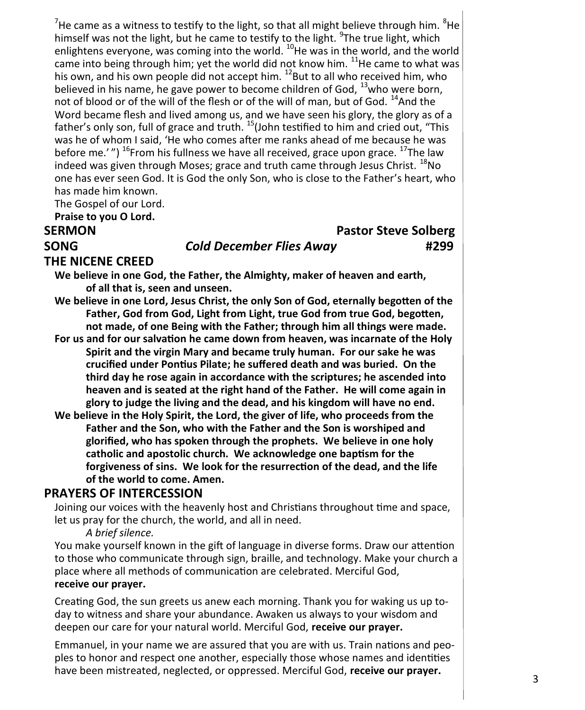<sup>7</sup>He came as a witness to testify to the light, so that all might believe through him.  ${}^{8}$ He himself was not the light, but he came to testify to the light. <sup>9</sup>The true light, which enlightens everyone, was coming into the world.  $^{10}$ He was in the world, and the world came into being through him; yet the world did not know him.  $^{11}$ He came to what was his own, and his own people did not accept him. <sup>12</sup>But to all who received him, who believed in his name, he gave power to become children of God, <sup>13</sup>who were born, not of blood or of the will of the flesh or of the will of man, but of God.  $^{14}$ And the Word became flesh and lived among us, and we have seen his glory, the glory as of a father's only son, full of grace and truth. <sup>15</sup>(John testified to him and cried out, "This was he of whom I said, 'He who comes after me ranks ahead of me because he was before me.' $''$ ) <sup>16</sup>From his fullness we have all received, grace upon grace.  $^{17}$ The law indeed was given through Moses; grace and truth came through Jesus Christ.  $^{18}$ No one has ever seen God. It is God the only Son, who is close to the Father's heart, who has made him known.

The Gospel of our Lord.

**Praise to you O Lord.**

#### **SERMON** Pastor Steve Solberg

#### **SONG** *Cold December Flies Away* **#299**

#### **THE NICENE CREED**

**We believe in one God, the Father, the Almighty, maker of heaven and earth, of all that is, seen and unseen.**

**We believe in one Lord, Jesus Christ, the only Son of God, eternally begotten of the Father, God from God, Light from Light, true God from true God, begotten, not made, of one Being with the Father; through him all things were made.** 

**For us and for our salvation he came down from heaven, was incarnate of the Holy Spirit and the virgin Mary and became truly human. For our sake he was crucified under Pontius Pilate; he suffered death and was buried. On the third day he rose again in accordance with the scriptures; he ascended into heaven and is seated at the right hand of the Father. He will come again in glory to judge the living and the dead, and his kingdom will have no end.**

**We believe in the Holy Spirit, the Lord, the giver of life, who proceeds from the Father and the Son, who with the Father and the Son is worshiped and glorified, who has spoken through the prophets. We believe in one holy catholic and apostolic church. We acknowledge one baptism for the forgiveness of sins. We look for the resurrection of the dead, and the life of the world to come. Amen.**

#### **PRAYERS OF INTERCESSION**

Joining our voices with the heavenly host and Christians throughout time and space, let us pray for the church, the world, and all in need.

*A brief silence.*

You make yourself known in the gift of language in diverse forms. Draw our attention to those who communicate through sign, braille, and technology. Make your church a place where all methods of communication are celebrated. Merciful God, **receive our prayer.**

Creating God, the sun greets us anew each morning. Thank you for waking us up today to witness and share your abundance. Awaken us always to your wisdom and deepen our care for your natural world. Merciful God, **receive our prayer.**

Emmanuel, in your name we are assured that you are with us. Train nations and peoples to honor and respect one another, especially those whose names and identities have been mistreated, neglected, or oppressed. Merciful God, **receive our prayer.**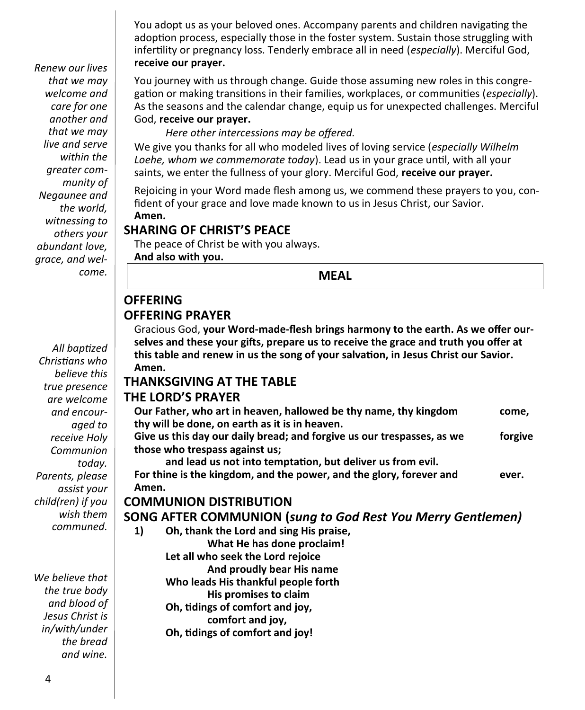You adopt us as your beloved ones. Accompany parents and children navigating the adoption process, especially those in the foster system. Sustain those struggling with infertility or pregnancy loss. Tenderly embrace all in need (*especially*). Merciful God, **receive our prayer.**

You journey with us through change. Guide those assuming new roles in this congregation or making transitions in their families, workplaces, or communities (*especially*). As the seasons and the calendar change, equip us for unexpected challenges. Merciful God, **receive our prayer.**

*Here other intercessions may be offered.*

We give you thanks for all who modeled lives of loving service (*especially Wilhelm Loehe, whom we commemorate today*). Lead us in your grace until, with all your saints, we enter the fullness of your glory. Merciful God, **receive our prayer.**

Rejoicing in your Word made flesh among us, we commend these prayers to you, confident of your grace and love made known to us in Jesus Christ, our Savior. **Amen.**

#### **SHARING OF CHRIST'S PEACE**

The peace of Christ be with you always. **And also with you.**

**MEAL**

### **OFFERING OFFERING PRAYER**

Gracious God, **your Word-made-flesh brings harmony to the earth. As we offer ourselves and these your gifts, prepare us to receive the grace and truth you offer at this table and renew in us the song of your salvation, in Jesus Christ our Savior. Amen.**

#### **THANKSGIVING AT THE TABLE**

#### **THE LORD'S PRAYER**

|       | Our Father, who art in heaven, hallowed be thy name, thy kingdom       | come,   |
|-------|------------------------------------------------------------------------|---------|
|       | thy will be done, on earth as it is in heaven.                         |         |
|       | Give us this day our daily bread; and forgive us our trespasses, as we | forgive |
|       | those who trespass against us;                                         |         |
|       | and lead us not into temptation, but deliver us from evil.             |         |
|       | For thine is the kingdom, and the power, and the glory, forever and    | ever.   |
| Amen. |                                                                        |         |
|       | <b>COMMUNION DISTRIBUTION</b>                                          |         |
|       | <b>SONG AFTER COMMUNION (sung to God Rest You Merry Gentlemen)</b>     |         |
| 1)    | Oh, thank the Lord and sing His praise,                                |         |
|       | What He has done proclaim!                                             |         |
|       | Let all who seek the Lord rejoice                                      |         |
|       | And proudly bear His name                                              |         |
|       | Who leads His thankful people forth                                    |         |
|       | His promises to claim                                                  |         |
|       | Oh, tidings of comfort and joy,                                        |         |
|       | comfort and joy,                                                       |         |
|       | Oh, tidings of comfort and joy!                                        |         |

*Renew our lives that we may welcome and care for one another and that we may live and serve within the greater community of Negaunee and the world, witnessing to others your abundant love, grace, and welcome.*

*All baptized Christians who believe this true presence are welcome and encouraged to receive Holy Communion today. Parents, please assist your child(ren) if you wish them communed.*

*We believe that the true body and blood of Jesus Christ is in/with/under the bread and wine.*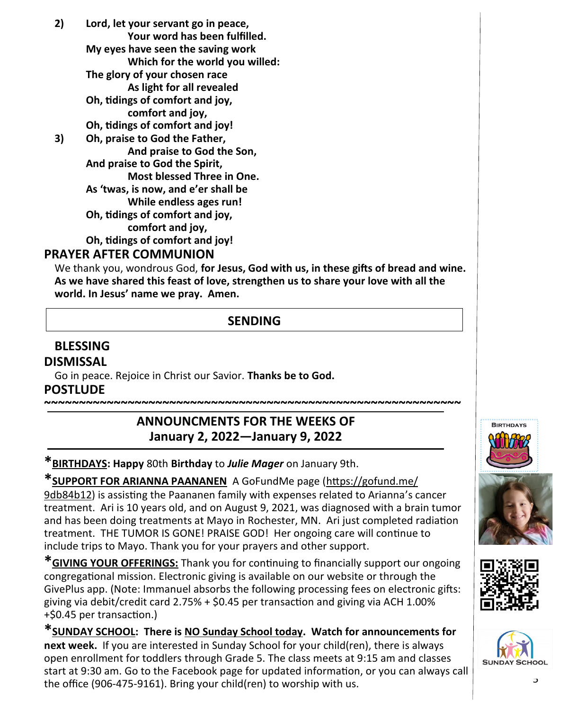**2) Lord, let your servant go in peace, Your word has been fulfilled. My eyes have seen the saving work Which for the world you willed: The glory of your chosen race As light for all revealed Oh, tidings of comfort and joy, comfort and joy, Oh, tidings of comfort and joy! 3) Oh, praise to God the Father, And praise to God the Son, And praise to God the Spirit, Most blessed Three in One. As 'twas, is now, and e'er shall be While endless ages run! Oh, tidings of comfort and joy, comfort and joy, Oh, tidings of comfort and joy!**

#### **PRAYER AFTER COMMUNION**

We thank you, wondrous God, **for Jesus, God with us, in these gifts of bread and wine. As we have shared this feast of love, strengthen us to share your love with all the world. In Jesus' name we pray. Amen.**

### **SENDING**

#### **BLESSING DISMISSAL**

Go in peace. Rejoice in Christ our Savior. **Thanks be to God. POSTLUDE**

### **ANNOUNCMENTS FOR THE WEEKS OF January 2, 2022—January 9, 2022**

**~~~~~~~~~~~~~~~~~~~~~~~~~~~~~~~~~~~~~~~~~~~~~~~~~~~~~~~~~~~~**

**\*BIRTHDAYS: Happy** 80th **Birthday** to *Julie Mager* on January 9th.

**\*SUPPORT FOR ARIANNA PAANANEN** A GoFundMe page [\(https://gofund.me/](https://gofund.me/9db84b12)  [9db84b12\)](https://gofund.me/9db84b12) is assisting the Paananen family with expenses related to Arianna's cancer treatment. Ari is 10 years old, and on August 9, 2021, was diagnosed with a brain tumor and has been doing treatments at Mayo in Rochester, MN. Ari just completed radiation treatment. THE TUMOR IS GONE! PRAISE GOD! Her ongoing care will continue to include trips to Mayo. Thank you for your prayers and other support.

**\*GIVING YOUR OFFERINGS:** Thank you for continuing to financially support our ongoing congregational mission. Electronic giving is available on our website or through the GivePlus app. (Note: Immanuel absorbs the following processing fees on electronic gifts: giving via debit/credit card 2.75% + \$0.45 per transaction and giving via ACH 1.00% +\$0.45 per transaction.)

**\*SUNDAY SCHOOL: There is NO Sunday School today. Watch for announcements for next week.** If you are interested in Sunday School for your child(ren), there is always open enrollment for toddlers through Grade 5. The class meets at 9:15 am and classes start at 9:30 am. Go to the Facebook page for updated information, or you can always call the office (906-475-9161). Bring your child(ren) to worship with us.





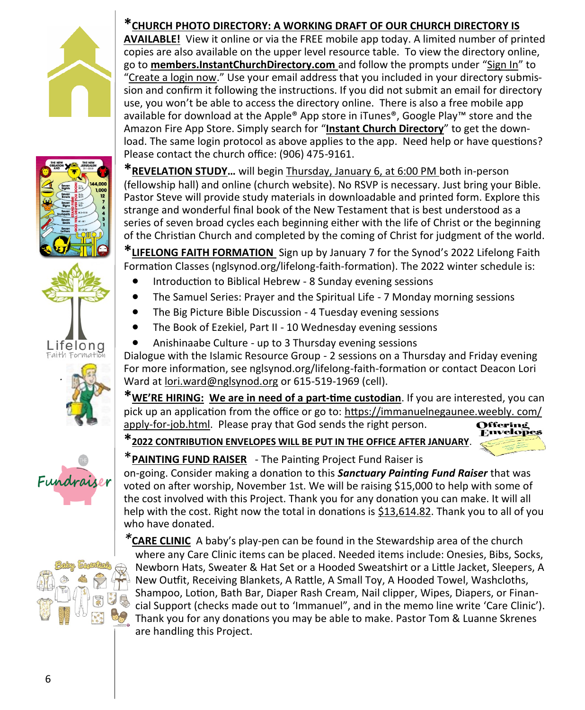











### **\*CHURCH PHOTO DIRECTORY: A WORKING DRAFT OF OUR CHURCH DIRECTORY IS**

**AVAILABLE!** View it online or via the FREE mobile app today. A limited number of printed copies are also available on the upper level resource table. To view the directory online, go to **members.InstantChurchDirectory.com** and follow the prompts under "Sign In" to "Create a login now." Use your email address that you included in your directory submission and confirm it following the instructions. If you did not submit an email for directory use, you won't be able to access the directory online. There is also a free mobile app available for download at the Apple® App store in iTunes®, Google Play™ store and the Amazon Fire App Store. Simply search for "**Instant Church Directory**" to get the download. The same login protocol as above applies to the app. Need help or have questions? Please contact the church office: (906) 475-9161.

**\*REVELATION STUDY…** will begin Thursday, January 6, at 6:00 PM both in-person (fellowship hall) and online (church website). No RSVP is necessary. Just bring your Bible. Pastor Steve will provide study materials in downloadable and printed form. Explore this strange and wonderful final book of the New Testament that is best understood as a series of seven broad cycles each beginning either with the life of Christ or the beginning of the Christian Church and completed by the coming of Christ for judgment of the world.

**\*LIFELONG FAITH FORMATION** Sign up by January 7 for the Synod's 2022 Lifelong Faith Formation Classes (nglsynod.org/lifelong-faith-formation). The 2022 winter schedule is:

- Introduction to Biblical Hebrew 8 Sunday evening sessions
- The Samuel Series: Prayer and the Spiritual Life 7 Monday morning sessions
- The Big Picture Bible Discussion 4 Tuesday evening sessions
- The Book of Ezekiel, Part II 10 Wednesday evening sessions
- Anishinaabe Culture up to 3 Thursday evening sessions

Dialogue with the Islamic Resource Group - 2 sessions on a Thursday and Friday evening For more information, see nglsynod.org/lifelong-faith-formation or contact Deacon Lori Ward at [lori.ward@nglsynod.org](mailto:lori.ward@nglsynod.org) or 615-519-1969 (cell).

**\*WE'RE HIRING: We are in need of a part-time custodian**. If you are interested, you can pick up an application from the office or go to: [https://immanuelnegaunee.weebly. com/](https://immanuelnegaunee.weebly.com/apply-for-job.html) apply-for-[job.html.](https://immanuelnegaunee.weebly.com/apply-for-job.html) Please pray that God sends the right person. Offering

**\*2022 CONTRIBUTION ENVELOPES WILL BE PUT IN THE OFFICE AFTER JANUARY**.



### \***PAINTING FUND RAISER** - The Painting Project Fund Raiser is

on-going. Consider making a donation to this *Sanctuary Painting Fund Raiser* that was voted on after worship, November 1st. We will be raising \$15,000 to help with some of the cost involved with this Project. Thank you for any donation you can make. It will all help with the cost. Right now the total in donations is \$13,614.82. Thank you to all of you who have donated.

*\****CARE CLINIC** A baby's play-pen can be found in the Stewardship area of the church where any Care Clinic items can be placed. Needed items include: Onesies, Bibs, Socks, Newborn Hats, Sweater & Hat Set or a Hooded Sweatshirt or a Little Jacket, Sleepers, A New Outfit, Receiving Blankets, A Rattle, A Small Toy, A Hooded Towel, Washcloths, Shampoo, Lotion, Bath Bar, Diaper Rash Cream, Nail clipper, Wipes, Diapers, or Financial Support (checks made out to 'Immanuel", and in the memo line write 'Care Clinic'). Thank you for any donations you may be able to make. Pastor Tom & Luanne Skrenes are handling this Project.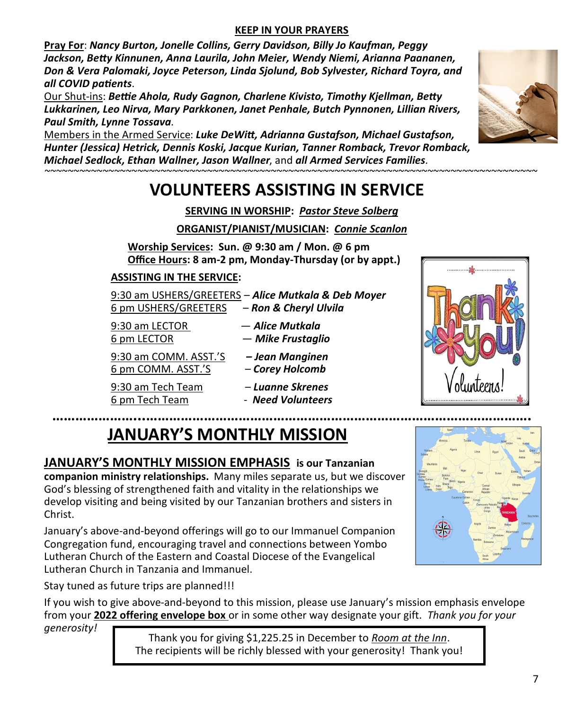#### **KEEP IN YOUR PRAYERS**

**Pray For**: *Nancy Burton, Jonelle Collins, Gerry Davidson, Billy Jo Kaufman, Peggy Jackson, Betty Kinnunen, Anna Laurila, John Meier, Wendy Niemi, Arianna Paananen, Don & Vera Palomaki, Joyce Peterson, Linda Sjolund, Bob Sylvester, Richard Toyra, and all COVID patients*.

Our Shut-ins: *Bettie Ahola, Rudy Gagnon, Charlene Kivisto, Timothy Kjellman, Betty Lukkarinen, Leo Nirva, Mary Parkkonen, Janet Penhale, Butch Pynnonen, Lillian Rivers, Paul Smith, Lynne Tossava*.

Members in the Armed Service: *Luke DeWitt, Adrianna Gustafson, Michael Gustafson, Hunter (Jessica) Hetrick, Dennis Koski, Jacque Kurian, Tanner Romback, Trevor Romback, Michael Sedlock, Ethan Wallner, Jason Wallner*, and *all Armed Services Families.*

### *~~~~~~~~~~~~~~~~~~~~~~~~~~~~~~~~~~~~~~~~~~~~~~~~~~~~~~~~~~~~~~~~~~~~~~~~~~~~~~~~~~~~~*  **VOLUNTEERS ASSISTING IN SERVICE**

**SERVING IN WORSHIP:** *Pastor Steve Solberg*

**ORGANIST/PIANIST/MUSICIAN:** *Connie Scanlon* 

**Worship Services: Sun. @ 9:30 am / Mon. @ 6 pm Office Hours: 8 am-2 pm, Monday-Thursday (or by appt.)**

#### **ASSISTING IN THE SERVICE:**

9:30 am USHERS/GREETERS – *Alice Mutkala & Deb Moyer* 6 pm USHERS/GREETERS – *Ron & Cheryl Ulvila*

- 9:30 am LECTOR *Alice Mutkala*
- 6 pm LECTOR *Mike Frustaglio*

9:30 am COMM. ASST.'S *– Jean Manginen*

6 pm COMM. ASST.'S – *Corey Holcomb*

9:30 am Tech Team – *Luanne Skrenes* 6 pm Tech Team - *Need Volunteers*

- 
- 

# **JANUARY'S MONTHLY MISSION**

### **JANUARY'S MONTHLY MISSION EMPHASIS is our Tanzanian**

**companion ministry relationships.** Many miles separate us, but we discover God's blessing of strengthened faith and vitality in the relationships we develop visiting and being visited by our Tanzanian brothers and sisters in Christ.

January's above-and-beyond offerings will go to our Immanuel Companion Congregation fund, encouraging travel and connections between Yombo Lutheran Church of the Eastern and Coastal Diocese of the Evangelical Lutheran Church in Tanzania and Immanuel.

Stay tuned as future trips are planned!!!

If you wish to give above-and-beyond to this mission, please use January's mission emphasis envelope from your **2022 offering envelope box** or in some other way designate your gift. *Thank you for your* 

*generosity!* 

Thank you for giving \$1,225.25 in December to *Room at the Inn*. The recipients will be richly blessed with your generosity! Thank you!